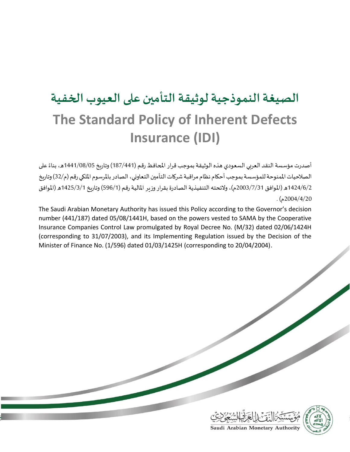# **الصيغة النموذجية لوثيقة التأمين على العيوب الخفية The Standard Policy of Inherent Defects Insurance (IDI)**

أصدرت مؤسسة النقد العربي السعودي هذه الوثيقة بموجب قرار المحافظ رقم (187/441) وتاريخ 1441/08/05ه، بناءً على ً الصلاحيات الممنوحة للمؤسسة بموجب أحكام نظام مراقبة شركات التأمين التعاوني، الصادر بالمرسوم الملكي رقم (م/32) وتاريخ 1424/6/2 ه (الموافق 7/3/2003م)، ولائحته التنفيذية الصادرة بقرار وزير المالية رقم (596/1) وتاريخ 1425/3/1ه (الموافق 2004/4/20م ) .

The Saudi Arabian Monetary Authority has issued this Policy according to the Governor's decision number (441/187) dated 05/08/1441H, based on the powers vested to SAMA by the Cooperative Insurance Companies Control Law promulgated by Royal Decree No. (M/32) dated 02/06/1424H (corresponding to 31/07/2003), and its Implementing Regulation issued by the Decision of the Minister of Finance No. (1/596) dated 01/03/1425H (corresponding to 20/04/2004).

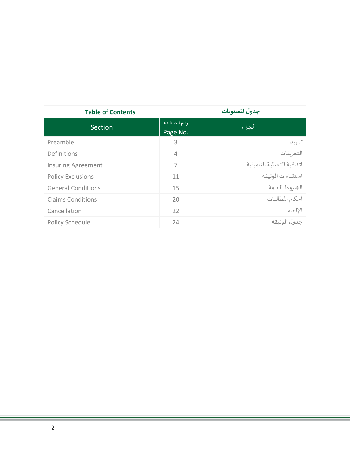| <b>Table of Contents</b>  |                        | جدول المحتوىات            |  |
|---------------------------|------------------------|---------------------------|--|
| Section                   | رقم الصفحة<br>Page No. | الجزء                     |  |
| Preamble                  | 3                      | تمهيد                     |  |
| Definitions               | 4                      | التعريفات                 |  |
| <b>Insuring Agreement</b> | 7                      | اتفاقية التغطية التأمينية |  |
| <b>Policy Exclusions</b>  | 11                     | استثناءات الوثيقة         |  |
| <b>General Conditions</b> | 15                     | الشروط العامة             |  |
| <b>Claims Conditions</b>  | 20                     | أحكام المطالبات           |  |
| Cancellation              | 22                     | الإلغاء                   |  |
| Policy Schedule           | 24                     | جدول الوثيقة              |  |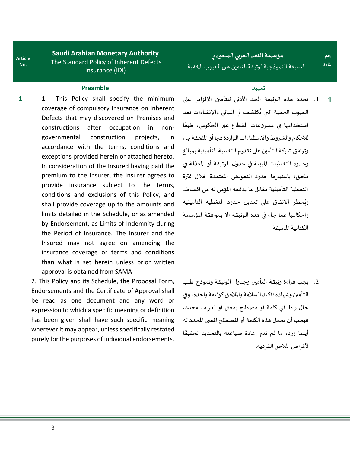**Article No.**

**Saudi Arabian Monetary Authority** The Standard Policy of Inherent Defects Insurance (IDI)

## **تمهيد Preamble**

**1** 1. This Policy shall specify the minimum coverage of compulsory Insurance on Inherent Defects that may discovered on Premises and constructions after occupation in nongovernmental construction projects, in accordance with the terms, conditions and exceptions provided herein or attached hereto. In consideration of the Insured having paid the premium to the Insurer, the Insurer agrees to provide insurance subject to the terms, conditions and exclusions of this Policy, and shall provide coverage up to the amounts and limits detailed in the Schedule, or as amended by Endorsement, as Limits of Indemnity during the Period of Insurance. The Insurer and the Insured may not agree on amending the insurance coverage or terms and conditions than what is set herein unless prior written approval is obtained from SAMA

2. This Policy and its Schedule, the Proposal Form, Endorsements and the Certificate of Approval shall be read as one document and any word or expression to which a specific meaning or definition has been given shall have such specific meaning wherever it may appear, unless specifically restated purely for the purposes of individual endorsements.

## **مؤسسة النقد العربي السعودي** الصيغة النموذجية لوثيقة التأمين على العيوب الخفية

**رقم املادة**

.1 تحدد هذه الوثيقة الحد األدنى للتأمين اإللزامي على العيوب الخفية التي تُكتشف في المباني والإنشاءات بعد ُ ًاستخدامها في مشروعات القطاع غير الحكومي، طبقًا للأحكام والشروط والاستثناءات الواردة فيها أو الملحقة بها، وتوافق شركة التأمين على تقديم التغطية التأمينية بمبالغ **.** وحدود التغطيات المبينة في جدول الوثيقة أو المعدّلة في ملحق؛ باعتبارها حدود التعويض املعتمدة خالل فترة التغطية التأمينية مقابل ما يدفعه املؤمن له من أقساط. ويُحظر الاتفاق على تعديل حدود التغطية التأمينية و<br>ڊ واحكامها عما جاء في هذه الوثيقة اال بموافقة املؤسسة الكتابية املسبقة. **1**

.2 يجب قراءة وثيقة التأمين وجدول الوثيقة ونموذج طلب التأمين وشهادة تأكيد السالمة واملالحق كوثيقة واحدة، وفي حال ربط أي كلمة أو مصطلح بمعنى أو تعريف محدد، فيجب أن تحمل هذه الكلمة أو املصطلح املعنى املحدد له ا أينما ورد، ما لم تتم إعادة صياغته بالتحديد تحقيق ֧<u>֓</u> لأغراض الملاحق الفردية.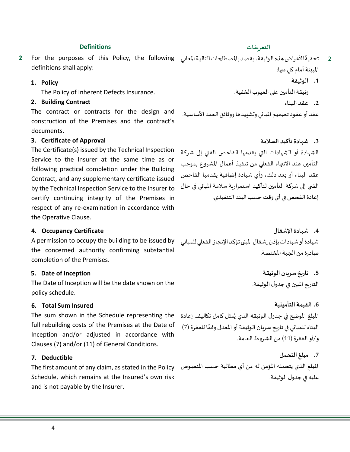## 4

## **التعريفات Definitions**

2 تحقيقًا لأغراض *هذه ا*لوثيقة، يقصد بالمصطلحات التالية المعاني For the purposes of this Policy, the following definitions shall apply:

## **1. Policy**

The Policy of Inherent Defects Insurance.

#### **2. Building Contract**

The contract or contracts for the design and construction of the Premises and the contract's documents.

## **3. Certificate of Approval**

The Certificate(s) issued by the Technical Inspection Service to the Insurer at the same time as or following practical completion under the Building Contract, and any supplementary certificate issued by the Technical Inspection Service to the Insurer to certify continuing integrity of the Premises in respect of any re-examination in accordance with the Operative Clause.

### **4. Occupancy Certificate**

A permission to occupy the building to be issued by the concerned authority confirming substantial completion of the Premises.

## **5. Date of Inception**

The Date of Inception will be the date shown on the policy schedule.

### **6. Total Sum Insured**

full rebuilding costs of the Premises at the Date of Inception and/or adjusted in accordance with Clauses (7) and/or (11) of General Conditions.

## **7. Deductible**

Schedule, which remains at the Insured's own risk and is not payable by the Insurer.

- ً المبينة أمام ك*لٍ* منها:
	- **.1 الوثيقة**

وثيقة التأمين على العيوب الخفية.

**.2 عقد البناء**

عقد أو عقود تصميم المباني وتشييدها ووثائق العقد الأساسية.

**.3 شهادة تأكيد السالمة** الشهادة أو الشهادات التي يقدمها الفاحص الفني إلى شركة التأمين عند االنتهاء الفعلي من تنفيذ أعمال املشروع بموجب عقد البناء أو بعد ذلك، وأي شهادة إضافية يقدمها الفاحص الفني إلى شركة التأمين لتأكيد استمرارية سالمة املباني في حال إعادة الفحص في أي وقت حسب البند التنفيذي.

**.4 شهادة اإلشغال**  شهادة أو شهادات بإذن إشغال املبنى تؤكد اإلنجاز الفعلي للمباني صادرة من الجهة المختصة.

> **.5 تاريخسريان الوثيقة** التاريخ املبين في جدول الوثيقة.

## **.6 القيمة التأمينية**

المبلغ الموضح في جدول الوثيقة الذي يُمثل كامل تكاليف إعادة The sum shown in the Schedule representing the ٍ<br>پ البناء للمباني في تاريخ سريان الوثيقة أو المعدل وفقًا للفقرة (7) ً و/أو الفقرة (11) من الشروط العامة.

المبلغ الذي يتحمله المؤمن له من أي مطالبة حسب المنصوص The first amount of any claim, as stated in the Policy **.7 مبلغ التحمل** عليه في جدول الوثيقة.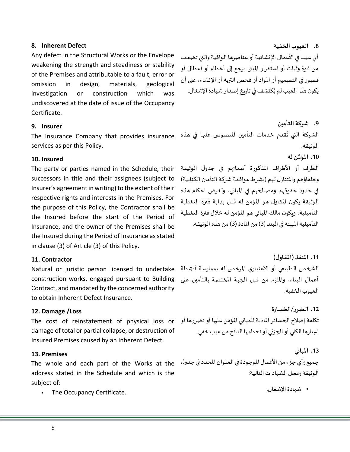5

#### **8. Inherent Defect**

Any defect in the Structural Works or the Envelope weakening the strength and steadiness or stability of the Premises and attributable to a fault, error or omission in design, materials, geological investigation or construction which was undiscovered at the date of issue of the Occupancy Certificate .

#### **9. Insurer**

services as per this Policy.

### **10. Insured**

The party or parties named in the Schedule, their successors in title and their assignees (subject to Insurer's agreement in writing) to the extent of their respective rights and interests in the Premises. For the purpose of this Policy, the Contractor shall be the Insured before the start of the Period of Insurance, and the owner of the Premises shall be the Insured during the Period of Insurance as stated in clause (3) of Article (3) of this Policy.

#### **11. Contractor**

Natural or juristic person licensed to undertake construction works, engaged pursuant to Building Contract, and mandated by the concerned authority to obtain Inherent Defect Insurance.

### **12. Damage /Loss**

damage of total or partial collapse, or destruction of Insured Premises caused by an Inherent Defect.

### **13. Premises**

address stated in the Schedule and which is the subject of:

• The Occupancy Certificate.

**.8 العيوب الخفية** أي عيب في الأعمال الإنشائية أو عناصرها الواقية والتي تضعف من قوة وثبات أو استقرار املبنى يرجع إلى أخطاء أو أعطال أو قصور في التصميم أو املواد أوفحص التربةأو اإلنشاء، على أن يكون هذا العيب لم يُكتشف في تاريخ إصدار شهادة الإشغال. و<br>ڊ

The Insurance Company that provides insurance قدم خدمات التأمين املنصوص عليها في هذه الشركة التي ت **.9 شركة التأمين** ُ الوثيقة. **َّ .10 ن له املؤم** الطرف أو األطراف املذكورة أسمائهم في جدول الوثيقة وخلفاؤهم والمتنازل لهم (بشرط موافقة شركة التأمين الكتابية) في حدود حقوقهم ومصالحهم في املباني، ولغرض احكام هذه

الوثيقة يكون املقاول هو املؤمن له قبل بداية فترة التغطية التأمينية، ويكون مالك املباني هو املؤمن له خالل فترة التغطية التأمينية المبينة في البند (3) من المادة (3) من هذه الوثيقة.

**.11 املنفذ )املقاول(** الشخص الطبيعي أو االعتباري املرخص له بممارسة أنشطة أعمال البناء، وامللزم من قبل الجهة املختصة بالتأمين على العيوب الخفية.

تكلفة إصلاح الخسائر المادية للمباني المؤمن عليها أو تضررها أو The cost of reinstatement of physical loss or **.12 الضرر/الخسارة** انهيارها الكلي أوالجزئي أوتحطمها الناتج من عيبخفي.

جميع وأي جزء من الأعمال الموجودة في العنوان المحدد في جدول The whole and each part of the Works at the **.13 املباني**  الوثيقة ومحل الشهادات التالية:

• شهادة الإشغال.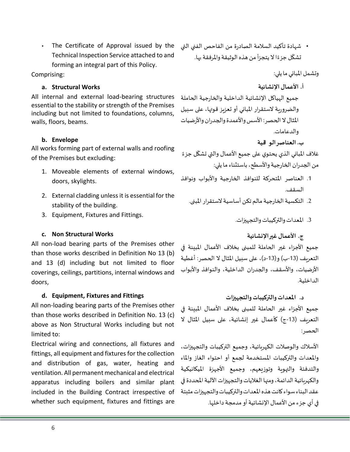The Certificate of Approval issued by the Technical Inspection Service attached to and forming an integral part of this Policy.

Comprising:

## **a. Structural Works**

All internal and external load-bearing structures essential to the stability or strength of the Premises including but not limited to foundations, columns, walls, floors, beams.

## **b. Envelope**

All works forming part of external walls and roofing of the Premises but excluding:

- 1. Moveable elements of external windows, doors, skylights.
- 2. External cladding unless it is essential for the stability of the building.
- 3. Equipment, Fixtures and Fittings.

## **c. Non Structural Works**

All non-load bearing parts of the Premises other than those works described in Definition No 13 (b) and 13 (d) including but not limited to floor coverings, ceilings, partitions, internal windows and doors,

## **d. Equipment, Fixtures and Fittings**

All non-loading bearing parts of the Premises other than those works described in Definition No. 13 (c) above as Non Structural Works including but not limited to:

Electrical wiring and connections, all fixtures and fittings, all equipment and fixtures for the collection and distribution of gas, water, heating and ventilation. All permanent mechanical and electrical apparatus including boilers and similar plant included in the Building Contract irrespective of whether such equipment, fixtures and fittings are

• شهادة تأكيد السالمة الصادرة من الفاحص الفني التي تشكّل جزءًا لا يتجزأ من هذه الوثيقة والمرفقة بها. ً<br>غ ŕ

وتشمل املباني ما يلي:

- **أ. األعمال اإلنشائية** جميع الهياكل اإلنشائية الداخلية والخارجية الحاملة والضرورية لاستقرار المباني أو تعزيز قوتها، على سبيل المثال لا الحصر : الأسس والأعمدة والجدران والأرضيات والدعامات.
	- **ب. العناصر الو اقية**

غلاف المباني الذي يحتوي على جميع الأعمال والتي تشكّل جزءً ً<br>غ <u>،</u> من الجدران الخارجية والأسطح، باستثناء ما يلي:

- 1. العناصر المتحركة للنوافذ الخارجية والأبواب ونوافذ السقف.
	- 2. التكسية الخارجية مالم تكن أساسية لاستقرار المدن.
		- .3 املعدات والتركيبات والتجهيزات.

**ج. األعمال غير اإلنشائية**

جميع الأجزاء غير الحاملة للمبنى بخلاف الأعمال المبينة في التعريف (13-ب) و(13-د)، على سبيل المثال لا الحصر: أغطية الأرضيات، والأسقف، والجدران الداخلية، والنوافذ والأبواب الداخلية.

**د. املعدات والتركيبات والتجهيزات** جميع الأجزاء غير الحاملة للمبنى بخلاف الأعمال المبننة في التعريف (13-ج) كأعمال غير إنشائية، على سبيل المثال لا الحصر:

األسالك والوصالت الكهربائية، وجميع التركيبات والتجهيزات، واملعدات والتركيبات املستخدمة لجمع أو احتواء الغاز واملاء والتدفئة والتهوية وتوزيعهم، وجميع األجهزة امليكانيكية والكهربائية الدائمة، ومنها الغلايات والتجهيزات الآلية المحددة في عقد البناء سواء كانت هذه املعدات والتركيبات والتجهيزات مثبتة في أي جزء من األعمال اإلنشائية أو مدمجة داخلها.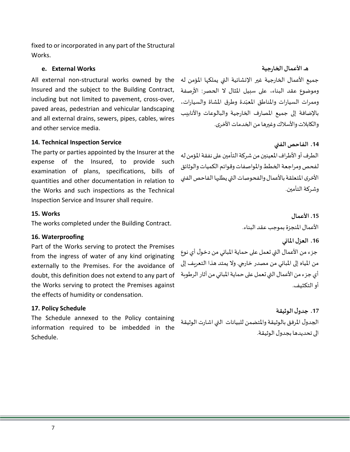fixed to or incorporated in any part of the Structural Works.

## **e. External Works**

All external non-structural works owned by the Insured and the subject to the Building Contract, including but not limited to pavement, cross-over, paved areas, pedestrian and vehicular landscaping and all external drains, sewers, pipes, cables, wires and other service media.

## **14. Technical Inspection Service**

The party or parties appointed by the Insurer at the expense of the Insured, to provide such examination of plans, specifications, bills of quantities and other documentation in relation to the Works and such inspections as the Technical Inspection Service and Insurer shall require.

### **15. Works**

The works completed under the Building Contract.

## **16. Waterproofing**

Part of the Works serving to protect the Premises from the ingress of water of any kind originating externally to the Premises. For the avoidance of doubt, this definition does not extend to any part of the Works serving to protect the Premises against the effects of humidity or condensation.

### **17. Policy Schedule**

The Schedule annexed to the Policy containing information required to be imbedded in the Schedule.

**هـ. األعمال الخارجية**

جميع الأعمال الخارجية غير الإنشائية التي يملكها المؤمن له وموضوع عقد البناء، على سبيل المثال لا الحصر: الأرصفة وممرات السيارات والمناطق المعبّدة وطرق المشاة والسيارات، ֦֧֦֧֦֧<br>֧֦֧֝֝֝ باإلضافة إلى جميع املصارف الخارجية والبالوعات واألنابيب والكابلات والأسلاك وغيرها من الخدمات الأخرى.

**.14 الفاحص الفني** الطرف أو الأطراف المعينين من شركة التأمين على نفقة المؤمن له لفحص ومراجعة الخطط واملواصفات وقوائم الكميات والوثائق الأخرى المتعلقة بالأعمال والفحوصات التي يطلبها الفاحص الفني وشركة التأمين.

> **.15 األعمال**  األعمال املنجزة بموجب عقد البناء.

**.16 العزل املائي** جزء من الأعمال التي تعمل على حماية المباني من دخول أي نوع من المياه إلى المباني من مصدر خارجي. ولا يمتد هذا التعريف إلى أي جزء من الأعمال التي تعمل على حماية المباني من آثار الرطوبة أو التكثيف.

**.17 جدول الوثيقة** الجدول المرفق بالوثيقة والمتضمن للبيانات التي اشارت الوثيقة الى تحديدها بجدول الوثيقة.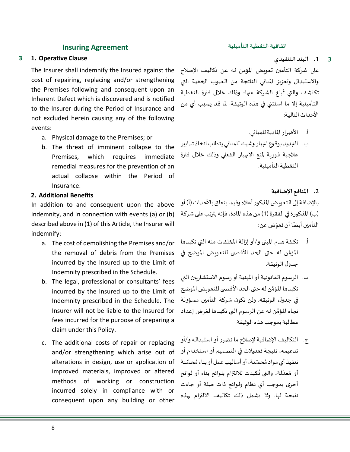## **اتفاقية التغطية التأمينية Agreement Insuring**

## **3 1. Operative Clause**

The Insurer shall indemnify the Insured against the cost of repairing, replacing and/or strengthening the Premises following and consequent upon an Inherent Defect which is discovered and is notified to the Insurer during the Period of Insurance and not excluded herein causing any of the following events:

- a. Physical damage to the Premises; or
- b. The threat of imminent collapse to the Premises, which requires immediate remedial measures for the prevention of an actual collapse within the Period of Insurance.

## **2. Additional Benefits**

In addition to and consequent upon the above indemnity, and in connection with events (a) or (b) described above in (1) of this Article, the Insurer will indemnify:

- a. The cost of demolishing the Premises and/or the removal of debris from the Premises incurred by the Insured up to the Limit of Indemnity prescribed in the Schedule.
- b. The legal, professional or consultants' fees incurred by the Insured up to the Limit of Indemnity prescribed in the Schedule. The Insurer will not be liable to the Insured for fees incurred for the purpose of preparing a claim under this Policy.
- c. The additional costs of repair or replacing and/or strengthening which arise out of alterations in design, use or application of improved materials, improved or altered methods of working or construction incurred solely in compliance with or consequent upon any building or other

**.1 البند التنفيذي 3**

على شركة التأمين تعويض املؤمن له عن تكاليف اإلصالح واالستبدال وتعزيز املباني الناتجة من العيوب الخفية التي تكتشف والتي تُبلغ الشركة عنها- وذلك خلال فترة التغطية <u>بر</u> التأمينية إال ما استثني في هذه الوثيقة- ملا قد يسبب أي من األحداث التالية:

أ. األضرار املادية للمباني. ب. التهديد بوقوع انهيار وشيك للمباني يتطلب اتخاذ تدابير عالجية فورية ملنع االنهيار الفعلي وذلك خالل فترة التغطية التأمينية.

#### **.2 املنافع اإلضافية**

بالإضافة إلى التعويض المذكور أعلاه وفيما يتعلق بالأحداث (أ) أو (ب) المذكورة في الفقرة (1) من هذه المادة، فإنه يترتب على شركة التأمين أيضًا أن تعوِّض عن: ֦֧֦֦֦֝ ً

- أ. تكلفة هدم املبنى و/أو إزالة املخلفات منه التي تكبدها المؤمَّن له حتى الحد الأقصى للتعويض الموضح في ر<br>آ جدول الوثيقة.
- ب. الرسوم القانونية أو المهنية أو رسوم الاستشاريين التي تكبدها المؤمَّن له حتى الحد الأقصى للتعويض الموضح َّ في جدول الوثيقة. ولن تكون شركة التأمين مسؤولة تجاه المؤمَّن له عن الرسوم التي تكبدها لغرض إعداد ً<br>ة مطالبة بموجب هذه الوثيقة.
- ج. التكاليف اإلضافية إلصالح ما تضرر أو استبدالهو/أو تدعيمه، نتيجة تعديالت في التصميم أو استخدام أو .<br>تنفيذ أي مواد مُحسّنة، أو أساليب عمل أو بناء مُحسّنة ر<br>م ؚ<br>؞ أو مُعدّلة، والتي تُكبدت للالتزام بلوائح بناء أو لوائح ُ ر<br>ا ر<br>م أخرى بموجب أي نظام ولوائح ذات صلة أو جاءت نتيجة لها. وال يشمل ذلك تكاليف االلتزام بهذه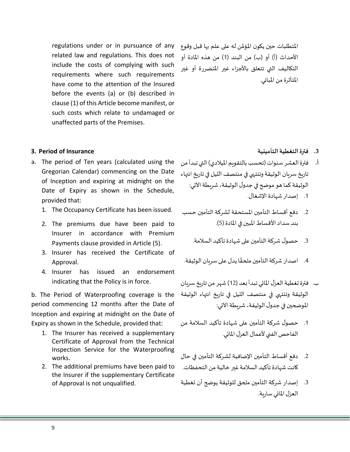regulations under or in pursuance of any related law and regulations. This does not include the costs of complying with such requirements where such requirements have come to the attention of the Insured before the events (a) or (b) described in clause (1) of this Article become manifest, or such costs which relate to undamaged or unaffected parts of the Premises.

**3. Period of Insurance**

- a. The period of Ten years (calculated using the Gregorian Calendar) commencing on the Date of Inception and expiring at midnight on the Date of Expiry as shown in the Schedule, provided that:
	- 1. The Occupancy Certificate has been issued.
	- 2. The premiums due have been paid to Insurer in accordance with Premium Payments clause provided in Article (5).
	- 3. Insurer has received the Certificate of Approval.
	- 4. Insurer has issued an endorsement indicating that the Policy is in force.

period commencing 12 months after the Date of Inception and expiring at midnight on the Date of Expiry as shown in the Schedule, provided that:

- 1. The Insurer has received a supplementary Certificate of Approval from the Technical Inspection Service for the Waterproofing works.
- 2. The additional premiums have been paid to the Insurer if the supplementary Certificate of Approval is not unqualified.

المتطلبات حين يكون المؤمَّن له على علم بها قبل وقوع ً<br>ة الأحداث (أ) أو (ب) من البند (1) من هذه المادة أو التكاليف التي تتعلق باألجزاء غير املتضررة أو غير املتأثرة من املباني.

**.3 فترة التغطية التأمينية**

- **أ.** فترة العشر سنوات )تحسب بالتقويم امليالدي( التي تبدأ من تاريخ سريان الوثيقة وتنتهي في منتصف الليل في تاريخ انتهاء الوثيقة كما هو موضح في جدول الوثيقة، شريطة الآتي: 1. إصدار شهادة الإشغال.
- 2. دفع أقساط التأمين المستحقة لشركة التأمين حسب بند سداد الأقساط المبين في المادة (5).
	- .3 حصول شركة التأمين على شهادة تأكيد السالمة.
- 4. اصدار شركة التأمين ملحقًا يدل على سربان الوثيقة. ً
- b. The Period of Waterproofing coverage is the الوثيقة وتنتهي في منتصف الليل في تاريخ انتهاء الوثيقة ب. فترة تغطية العزل المائي تبدأ بعد (12) شهر من تاريخ سريان املوضحين في جدول الوثيقة،شريطةاآلتي:
	- .1 حصول شركة التأمين على شهادة تأكيد السالمة من الفاحص الفني لأعمال العزل المائي.
	- .2 دفع أقساط التأمين اإلضافية لشركة التأمين في حال كانت شهادة تأكيد السالمة غير خالية من التحفظات.
	- .3 إصدار شركة التأمين ملحق للوثيقة يوضح أن تغطية العزل المائي سارية.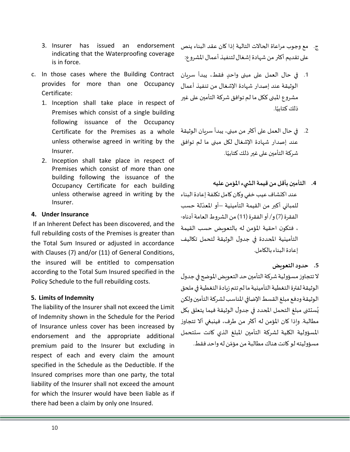- 3. Insurer has issued an endorsement indicating that the Waterproofing coverage is in force.
- c. In those cases where the Building Contract provides for more than one Occupancy Certificate:
	- 1. Inception shall take place in respect of Premises which consist of a single building following issuance of the Occupancy Certificate for the Premises as a whole unless otherwise agreed in writing by the Insurer.
	- 2. Inception shall take place in respect of Premises which consist of more than one building following the issuance of the Occupancy Certificate for each building unless otherwise agreed in writing by the عند اكتشاف عيب خفي وكان كامل تكلفة إعادة البناء Insurer.

## **4. Under Insurance**

If an Inherent Defect has been discovered, and the full rebuilding costs of the Premises is greater than the Total Sum Insured or adjusted in accordance with Clauses (7) and/or (11) of General Conditions, the insured will be entitled to compensation according to the Total Sum Insured specified in the Policy Schedule to the full rebuilding costs.

## **5. Limits of Indemnity**

The liability of the Insurer shall not exceed the Limit of Indemnity shown in the Schedule for the Period of Insurance unless cover has been increased by endorsement and the appropriate additional premium paid to the Insurer but excluding in respect of each and every claim the amount specified in the Schedule as the Deductible. If the Insured comprises more than one party, the total liability of the Insurer shall not exceed the amount for which the Insurer would have been liable as if there had been a claim by only one Insured.

- ج. مع وجوب مراعاة الحاالت التالية إذا كان عقد البناء ينص على تقديم أكثر من شهادة إشغال لتنفيذ أعمال المشروع:
- .1 في حال العمل على مبنى واحٍد فقط، يبدأ سريان الوثيقة عند إصدار شهادة اإلشغال من تنفيذ أعمال مشروع المبنى ككل ما لم توافق شركة التأمين على غير ذلك كتابيًا. ٍ<br>أ
- .2 في حال العمل على أكثر من مبنى، يبدأ سريان الوثيقة عند إصدار شهادة اإلشغال لكل مبنى ما لم توافق شركة التأمين على غير ذلك كتابيًا. ٍ<br>أ
	- **.4 التأمين بأقل من قيمة الش يء املؤمن عليه**

ّللمباني أكبر من القيمة التأمينية —أو المعدّلة حسب الفقرة (7) و/ أو الفقرة (11) من الشروط العامة أدناه-، فتكون احقية املؤمن له بالتعويض حسب القيمة التأمينية املحددة في جدول الوثيقة لتحمل تكاليف إعادة البناء بالكامل.

**.5 حدود التعويض**

لا تتجاوز مسؤولية شركة التأمين حد التعويض الموضح في جدول الوثيقة لفترة التغطية التأمينية ما لم تتم زيادة التغطية في ملحق الوثيقة ودفع مبلغ القسط الإضافي المناسب لشركة التأمين ولكن ستثنى مبلغ التحمل املحدد في جدول الوثيقة فيما يتعلق بكل ي و<br>ڊ مطالبة. وإذا كان املؤمن له أكثر من طرف، فينبغي أال تتجاوز املسؤولية الكلية لشركة التأمين املبلغ الذي كانت ستتحمل مسؤوليته لو كانت هناك مطالبة من مؤمّن له واحد فقط. ّ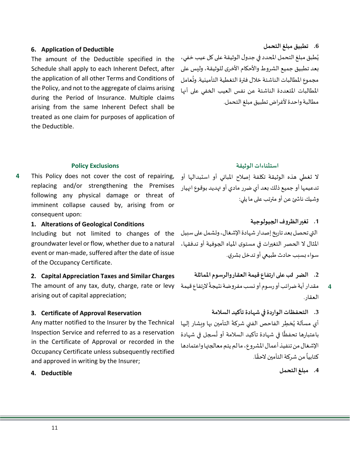## **6. Application of Deductible**

The amount of the Deductible specified in the Schedule shall apply to each Inherent Defect, after the application of all other Terms and Conditions of the Policy, and not to the aggregate of claims arising during the Period of Insurance. Multiple claims arising from the same Inherent Defect shall be treated as one claim for purposes of application of the Deductible.

**.6 تطبيق مبلغ التحمل** يُطبق مبلغ التحمل المحدد في جدول الوثيقة على كل عيب خفي، ٍ<br>د بعد تطبيق جميع الشروط والأحكام الأخرى للوثيقة، وليس على ُمجموع المطالبات الناشئة خلال فترة التغطية التأمينية. وتُعامل املطالبات املتعددة الناشئة عن نفس العيب الخفي على أنها مطالبة واحدة ألغراض تطبيق مبلغ التحمل.

**4** This Policy does not cover the cost of repairing, replacing and/or strengthening the Premises following any physical damage or threat of imminent collapse caused by, arising from or consequent upon:

**1. Alterations of Geological Conditions**

Including but not limited to changes of the groundwater level or flow, whether due to a natural event or man-made, suffered after the date of issue of the Occupancy Certificate.

## **2. Capital Appreciation Taxes and Similar Charges**

The amount of any tax, duty, charge, rate or levy arising out of capital appreciation;

## **3. Certificate of Approval Reservation**

Any matter notified to the Insurer by the Technical Inspection Service and referred to as a reservation in the Certificate of Approval or recorded in the Occupancy Certificate unless subsequently rectified and approved in writing by the Insurer;

### **4. Deductible**

### **استثناءات الوثيقة Exclusions Policy**

لا تغطي هذه الوثيقة تكلفة إصلاح المباني أو استبدالها أو تدعيمها أو جميع ذلك بعد أي ضرر مادي أو تهديد بوقوع انهيار وشيك ناشئ عن أو مترتب على ما يلي:

**.1 تغيرالظروف الجيولوجية** التي تحصل بعد تاريخ إصدار شهادة الإشغال، وتشمل على سبيل املثال ال الحصر التغيرات في مستوى املياه الجوفية أو تدفقها، سواء بسبب حادث طبيعي أو تدخل بشري.

**.2 الضر ائبعلىارتفاع قيمةالعقاروالرسوم املماثلة**

- ً مقدار أية ضرائب أورسوم أو نسب مفروضة نتيجةً لارتفاع قيمة العقار.
- **.3 التحفظاتالواردةفيشهادة تأكيد السالمة** أي مسألة يُخطِر الفاحص الفني شركةَ التأمين بها ويشار إليها َ و<br>ڊ ُ ً

باعتبارها تحفظًا في شهادة تأكيد السلامة أو تُسجل في شهادة الإشغال من تنفيذ أعمال المشروع، مالم يتم معالجتها واعتمادها كتابياً من شركة التأمين لاحقًا. ا<br>آ ً

**.4 مبلغ التحمل**

**4**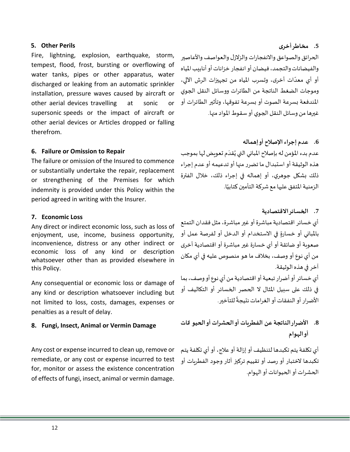## **5. Other Perils**

Fire, lightning, explosion, earthquake, storm, tempest, flood, frost, bursting or overflowing of water tanks, pipes or other apparatus, water discharged or leaking from an automatic sprinkler installation, pressure waves caused by aircraft or other aerial devices travelling at sonic or supersonic speeds or the impact of aircraft or other aerial devices or Articles dropped or falling therefrom.

## **6. Failure or Omission to Repair**

The failure or omission of the Insured to commence or substantially undertake the repair, replacement or strengthening of the Premises for which indemnity is provided under this Policy within the period agreed in writing with the Insurer.

### **7. Economic Loss**

Any direct or indirect economic loss, such as loss of enjoyment, use, income, business opportunity, inconvenience, distress or any other indirect or economic loss of any kind or description whatsoever other than as provided elsewhere in this Policy.

Any consequential or economic loss or damage of any kind or description whatsoever including but not limited to loss, costs, damages, expenses or penalties as a result of delay.

### **8. Fungi, Insect, Animal or Vermin Damage**

Any cost or expense incurred to clean up, remove or remediate, or any cost or expense incurred to test for, monitor or assess the existence concentration of effects of fungi, insect, animal or vermin damage.

الحرائق والصواعق واالنفجارات والزالزل والعواصف واألعاصير والفيضانات والتجمد، فيضان أو انفجار خزانات أو أنابيب املياه أو أي معدّات أخرى، وتسرب المياه من تجهيزات الرش الآلي، ر<br>ا وموجات الضغط الناتجة من الطائرات ووسائل النقل الجوي املندفعة بسرعة الصوت أو بسرعة تفوقها، وتأثير الطائرات أو غيرهامن وسائل النقل الجوي أوسقوطاملوادمنها.

**.6 عدم إجراء اإلصالح أو إهماله**  عدم بدء المؤمن له بإصلاح المباني التي يُقدَم تعويض لها بموجب ٔ<br>ا ٍ<br>پ هذه الوثيقة أو استبدال ما تضرر منها أو تدعيمه أو عدم إجراء ذلك بشكل جوهري، أو إهماله في إجراء ذلك، خالل الفترة ًالزمنية المتفق عليها مع شركة التأمين كتابيًا.

## **.7 الخسائر االقتصادية**

أي خسائر اقتصادية مباشرة أو غير مباشرة، مثل فقدان التمتع بالمباني أو خسارةٍ في الاستخدام أو الدخل أو لفرصة عمل أو صعوبة أو ضائقة أو أي خسارة غير مباشرة أو اقتصادية أخرى من أي نوع أو وصف، بخالف ما هو منصوص عليه في أي مكان آخر في هذه الوثيقة.

أي خسائر أو أضرار تبعية أو اقتصادية من أي نوع أو وصف، بما في ذلك على سبيل املثال ال الحصر الخسائر أو التكاليف أو ًالأضرار أو النفقات أو الغرامات نتيجةً للتأخير.

**.8 األضرار الناتجة عن الفطريات أو الحشرات أو الحيو انات أو الهوام** 

أي تكلفة يتم تكبدها لتنظيف أو إزالة أو علاج، أو أي تكلفة يتم تكبدها الختبار أو رصد أو تقييم تركيز آثار وجود الفطريات أو الحشرات أو الحيوانات أو الهوام.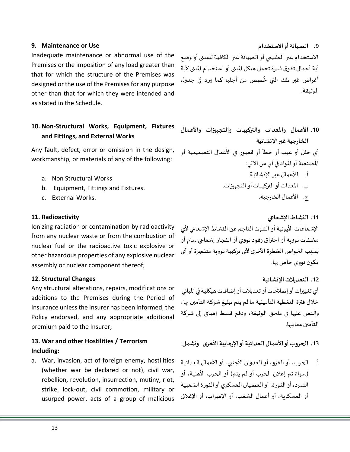## **9. Maintenance or Use**

Inadequate maintenance or abnormal use of the Premises or the imposition of any load greater than that for which the structure of the Premises was designed or the use of the Premises for any purpose other than that for which they were intended and as stated in the Schedule.

## **10. Non-Structural Works, Equipment, Fixtures and Fittings, and External Works**

Any fault, defect, error or omission in the design, workmanship, or materials of any of the following:

- a. Non Structural Works
- b. Equipment, Fittings and Fixtures.
- c. External Works.

## **11. Radioactivity**

Ionizing radiation or contamination by radioactivity from any nuclear waste or from the combustion of nuclear fuel or the radioactive toxic explosive or other hazardous properties of any explosive nuclear assembly or nuclear component thereof;

## **12. Structural Changes**

Any structural alterations, repairs, modifications or additions to the Premises during the Period of Insurance unless the Insurer has been informed, the Policy endorsed, and any appropriate additional premium paid to the Insurer;

## **13. War and other Hostilities / Terrorism Including:**

a. War, invasion, act of foreign enemy, hostilities (whether war be declared or not), civil war, rebellion, revolution, insurrection, mutiny, riot, strike, lock-out, civil commotion, military or usurped power, acts of a group of malicious

**.9 الصيانة أو االستخدام** االستخدام غير الطبيعي أو الصيانة غير الكافية للمبنى أو وضع أية أحمال تفوق قدرة تحمل هيكل المبنى أو استخدام المبنى لأية أغراض غير تلك التي خُصص من أجلها كما ورد في جدول ُ الوثيقة.

**.10 األعمال واملعدات والتركيبات والتجهيزات واألعمال الخارجية غيراإلنشائية** أي خلل أو عيب أو خطأ أو قصور في األعمال التصميمية أو املصنعية أو املواد في أي من االتي: أ. لألعمال غير اإلنشائية.

- ب. املعدات أو التركيبات أو التجهيزات.
	- ج. الأعمال الخارجية.

## **.11 النشاط اإلشعاعي**

الإشعاعات الأيونية أو التلوث الناجم عن النشاط الإشعاعي لأي مخلفات نوويةأو احتراق وقودنووي أو انفجار إشعاعي سام أو بسبب الخواص الخطرة الأخرى لأي تركيبة نووية متفجرة أو أي مكون نووي خاص بها.

أي تغييرات أو إصلاحات أو تعديلات أو إضافات هيكلية في المباني خالل فترة التغطية التأمينية ما لم يتم تبليغ شركة التأمين بها، والنص عليها في ملحق الوثيقة، ودفع قسط إضافي إلى شركة التأمين مقابلها.

**.13 الحروبأواألعمال العدائيةأواإلرهابيةاألخرى وتشمل**:

أ. الحرب، أو الغزو، أو العدوان األجنبي، أو األعمال العدائية (سواءً تم إعلان الحرب أو لم يتم) أو الحرب الأهلية، أو ً التمرد، أو الثورة،أوالعصيان العسكري أوالثورةالشعبية أو العسكرية، أو أعمال الشغب، أو اإلضراب، أو اإلغالق

**.12 التعديالت اإلنشائية**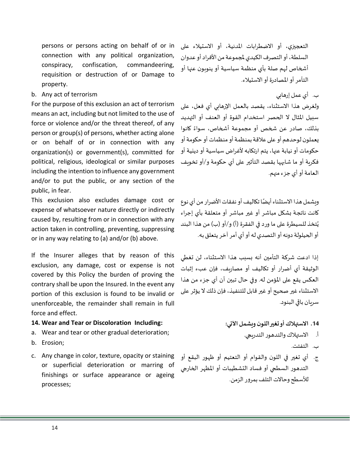persons or persons acting on behalf of or in connection with any political organization, conspiracy, confiscation, commandeering, requisition or destruction of or Damage to property.

## b. Any act of terrorism

For the purpose of this exclusion an act of terrorism means an act, including but not limited to the use of force or violence and/or the threat thereof, of any person or group(s) of persons, whether acting alone or on behalf of or in connection with any organization(s) or government(s), committed for political, religious, ideological or similar purposes including the intention to influence any government and/or to put the public, or any section of the public, in fear.

This exclusion also excludes damage cost or expense of whatsoever nature directly or indirectly caused by, resulting from or in connection with any action taken in controlling, preventing, suppressing or in any way relating to (a) and/or (b) above.

If the Insurer alleges that by reason of this exclusion, any damage, cost or expense is not covered by this Policy the burden of proving the contrary shall be upon the Insured. In the event any portion of this exclusion is found to be invalid or unenforceable, the remainder shall remain in full force and effect.

## **14. Wear and Tear or Discoloration Including:**

- a. Wear and tear or other gradual deterioration;
- b. Erosion;
- c. Any change in color, texture, opacity or staining or superficial deterioration or marring of finishings or surface appearance or ageing processes;

التعجيزي، أو االضطرابات املدنية، أو االستيالء على السلطة، أو التصرف الكيدي ملجموعة من األفراد أو عدوان أشخاص لهم صلة بأي منظمة سياسية أو ينوبون عنها أو التآمر أواملصادرةأواالستيالء.

ب. أي عمل إرهابي

ولغرض هذا االستثناء، يقصد بالعمل اإلرهابي أي فعل، على سبيل المثال لا الحصر استخدام القوة أو العنف أو التهديد كانوا بذلك، صادر عن شخص أو مجموعة أشخاص، سواء ً يعملون لوحدهم أو على عالقة بمنظمة أو منظماتأو حكومة أو حكومات أو نيابة عنها، يتم ارتكابه لأغراض سياسية أو دينية أو فكرية أو ما شابهها بقصد التأثير على أي حكومة و/أو تخويف العامة أو أي جزء منهم.

وبشمل هذا الاستثناء أيضًا تكاليف أو نفقات الأضرار من أي نوع ً كانت ناتجة بشكل مباشر أو غير مباشر أو متعلقة بأي إجراء ٍ<br>د يُتخذ للسيطرة على ما ورد في الفقرة (أ) و/أو (ب) من هذا البند أو الحيلولة دونه أو التصدي له أو أي أمر آخر يتعلق به.

إذا ادعت شركة التأمين أنه بسبب هذا االستثناء، لن تغطي الوثيقة أي أضرار أو تكاليف أو مصاريف، فإن عبء إثبات العكس يقع على املؤمن له. وفي حال تبين أن أي جزء من هذا االستثناء غير صحيح أو غير قابل للتنفيذ، فإن ذلك ال يؤثر على سريان باقي البنود.

**.14 االستهالكأوتغيراللون ويشمل اآلتي:** 

- أ. االستهالك والتدهورالتدريجي.
	- ب. التفتت.
- ج. أي تغير في اللون والقوام أو التعتيم أو ظهور البقع أو التدهور السطحي أو فساد التشطيبات أو املظهر الخارجي للأسطح وحالات التلف بمرور الزمن.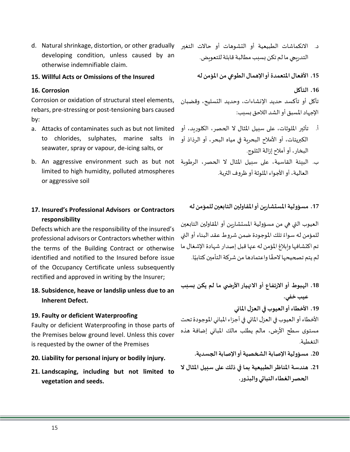د. الانكماشات الطبيعية أو التشوهات أو حالات التغير d. Natural shrinkage, distortion, or other gradually developing condition, unless caused by an otherwise indemnifiable claim.

## **15. Willful Acts or Omissions of the Insured**

## **16. Corrosion**

Corrosion or oxidation of structural steel elements, rebars, pre-stressing or post-tensioning bars caused by:

- a. Attacks of contaminates such as but not limited to chlorides, sulphates, marine salts in seawater, spray or vapour, de-icing salts, or
- b. An aggressive environment such as but not ب. البيئة القاسية، على سبيل املثال ال الحصر، الرطوبة limited to high humidity, polluted atmospheres or aggressive soil

## **17. Insured's Professional Advisors or Contractors responsibility**

Defects which are the responsibility of the insured's professional advisors or Contractors whether within the terms of the Building Contract or otherwise identified and notified to the Insured before issue of the Occupancy Certificate unless subsequently rectified and approved in writing by the Insurer;

## **18. Subsidence, heave or landslip unless due to an Inherent Defect.**

## **19. Faulty or deficient Waterproofing**

Faulty or deficient Waterproofing in those parts of the Premises below ground level. Unless this cover is requested by the owner of the Premises

- **20. Liability for personal injury or bodily injury.**
- **21. Landscaping, including but not limited to vegetation and seeds.**
- التدريجي ما لم تكن بسبب مطالبة قابلة للتعويض.
	- **.15 األفعال املتعمدة أو اإلهمال الطوعي من املؤمن له**

**.16 التآكل** 

تآكل أو تأكسد حديد اإلنشاءات، وحديد التسليح، وقضبان اإلجهاد املسبق أو الشد الالحق بسبب:

- أ. تأثير امللوثات، على سبيل املثال ال الحصر، الكلوريد، أو الكبريتات، أو األمالح البحرية في مياه البحر، أو الرذاذ أو البخار، أوأمالح إزالةالثلوج.
	- العالية، أواألجواءامللوثةأو ظروفالتربة.

**.17 مسؤوليةاملستشارين أواملقاولين التابعين للمؤمن له**

العيوب التي هي من مسؤولية املستشارين أو املقاولين التابعين للمؤمن له سواءً تلك الموجودة ضمن شروط عقد البناء أو التي ً تم اكتشافها وإبالغ املؤمن له عنها قبل إصدار شهادة اإلشغال ما لم يتم تصحيحها لاحقًا واعتمادها من شركة التأمين كتابيًا. ً<br>ئى ً

**.18 الهبوط أواالرتفاع أواالنهياراألرض ي ما لم يكن بسبب عيب خفي.**

**.19 األخطاءأوالعيوبفيالعزل املائي**

الأخطاء أو العيوب في العزل المائي في أجزاء المباني الموجودة تحت مستوى سطح األرض، مالم يطلب مالك املباني إضافة هذه التغطية.

- 20. مسؤولية الإصابة الشخصية أوالإصابة الجسدية.
- **.21 هندسة املناظر الطبيعية بما في ذلك على سبيل املثال ال الحصرالغطاءالنباتي والبذور.**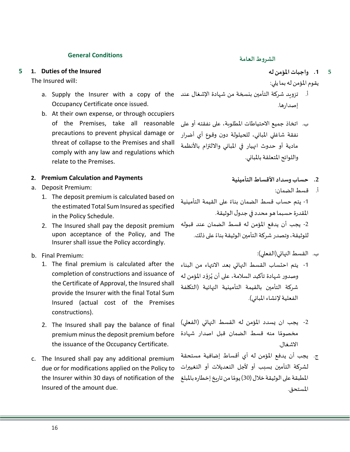## **General Conditions الشروطالعامة**

#### **5 1. Duties of the Insured**

The Insured will:

- Occupancy Certificate once issued.
- b. At their own expense, or through occupiers of the Premises, take all reasonable precautions to prevent physical damage or threat of collapse to the Premises and shall comply with any law and regulations which relate to the Premises.

## **2. Premium Calculation and Payments**

- a. Deposit Premium:
	- 1. The deposit premium is calculated based on the estimated Total Sum Insured as specified in the Policy Schedule.
	- 2. The Insured shall pay the deposit premium upon acceptance of the Policy, and The Insurer shall issue the Policy accordingly.
- b. Final Premium:
	- 1. The final premium is calculated after the completion of constructions and issuance of the Certificate of Approval, the Insured shall provide the Insurer with the final Total Sum Insured (actual cost of the Premises constructions).
	- 2. The Insured shall pay the balance of final premium minus the deposit premium before the issuance of the Occupancy Certificate.
- c. The Insured shall pay any additional premium due or for modifications applied on the Policy to the Insurer within 30 days of notification of the المطبقة على الوثيقة خلال (30) يومًا من تاريخ إخطاره بالمبلغ Insured of the amount due.

- **.1 واجبات املؤمن له 5**
- يقوم املؤمن له بما يلي:
- a. Supply the Insurer with a copy of the أ. تزويد شركة التأمين بنسخة من شهادة الإشغال عند إصدارها.
	- ب. اتخاذ جميع االحتياطات املطلوبة، على نفقته أو على نفقة شاغلي املباني، للحيلولة دون وقوع أي أضرار مادية أو حدوث انهيار في املباني وااللتزام باألنظمة واللوائح المتعلقة بالمباني.
		- **.2 حساب وسداد األقساط التأمينية**
			- أ. قسط الضمان:

1- يتم حساب قسط الضمان بناءً على القيمة التأمينية ً املقدرة حسبما هو محدد في جدول الوثيقة. -2 يجب أن يدفع املؤمن له قسط الضمان عند قبوله ًللوثيقة، وتصدر شركة التأمين الوثيقة بناءً على ذلك.

- ب. القسط النهائي(الفعلي):
- -1 يتم احتساب القسط النهائي بعد االنتهاء من البناء وصدور شهادة تأكيد السلامة، على أن يُزوّد المؤمن له ֦֧֦֦֝֜֜֜֜֜ ُ شركة التأمين بالقيمة التأمينية النهائية )التكلفة الفعلية لإنشاء المباني).
- 2- يجب ان يسدد المؤمن له القسط النهائي (الفعلي) مخصومًا منه قسط الضمان قبل اصدار شهادة ً<br>ة االشغال.
- ج. يجب أن يدفع املؤمن له أي أقساط إضافية مستحقة لشركة التأمين بسبب أو ألجل التعديالت أو التغييرات ًالمستحق.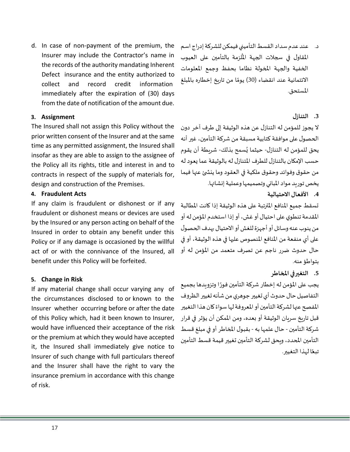d. In case of non-payment of the premium, the Insurer may include the Contractor's name in the records of the authority mandating Inherent Defect insurance and the entity authorized to collect and record credit information immediately after the expiration of (30) days from the date of notification of the amount due.

## **3. Assignment**

The Insured shall not assign this Policy without the prior written consent of the Insurer and at the same time as any permitted assignment, the Insured shall insofar as they are able to assign to the assignee of the Policy all its rights, title and interest in and to contracts in respect of the supply of materials for, design and construction of the Premises.

## **4. Fraudulent Acts**

If any claim is fraudulent or dishonest or if any fraudulent or dishonest means or devices are used by the Insured or any person acting on behalf of the Insured in order to obtain any benefit under this Policy or if any damage is occasioned by the willful act of or with the connivance of the Insured, all benefit under this Policy will be forfeited.

## **5. Change in Risk**

If any material change shall occur varying any of the circumstances disclosed to or known to the Insurer whether occurring before or after the date of this Policy which, had it been known to Insurer, would have influenced their acceptance of the risk or the premium at which they would have accepted it, the Insured shall immediately give notice to Insurer of such change with full particulars thereof and the Insurer shall have the right to vary the insurance premium in accordance with this change of risk.

د. عند عدم سداد القسط التأميني فيمكن للشركة إدراج اسم المقاول في سجلات الجهة المُلزمة بالتأمين على العيوب ر<br>أ الخفية والجهة املخولة نظاما بحفظ وجمع املعلومات ًالائتمانية عند انقضاء (30) يومًا من تاريخ إخطاره بالمبلغ المستحق.

## **.3 التنازل**

ال يجوز للمؤمن له التنازل عن هذه الوثيقة إلى طرف آخر دون الحصول على موافقة كتابية مسبقة من شركة التأمين، غير أنه يحق للمؤمن له التنازل- حيثما يُسمح بذلك- شريطة أن يقوم ؚ<br>پ حسب الإمكان بالتنازل للطرف المتنازل له بالوثيقة عما يعود له من حقوق وفوائد وحقوق ملكية في العقود وما ينش ئ عنها فيما يخص توريد مواد المباني وتصميمها وعملية إنشائها.

**.4 األفعال االحتيالية**

تسقط جميع املنافع املترتبة على هذه الوثيقة إذا كانت املطالبة المقدمة تنطوي على احتيال أو غش، أو إذا استخدم المؤمن له أو من ينوب عنه وسائل أو أجهزة للغش أو الاحتيال بهدف الحصول على أي منفعة من املنافع املنصوص عليها في هذه الوثيقة، أو في حال حدوث ضرر ناجم عن تصرف متعمد من املؤمن له أو بتواطؤ منه.

## **.5 التغير في املخاطر**

يجب على المؤمن له إخطار شركة التأمين فورًا وتزويدها بجميع ً التفاصيل حال حدوث أي تغيير جوهري من شأنه تغيير الظروف المفصح عنها لشركة التأمين أو المعروفة لها سواءً كان هذا التغيير ً قبل تاريخ سريان الوثيقة أو بعده، ومن املمكن أن يؤثر في قرار شركة التأمين - حال علمها به - بقبول المخاطر أو في مبلغ قسط التأمين املحدد، ويحق لشركة التأمين تغيير قيمة قسط التأمين تبعًا لهذا التغيير. ً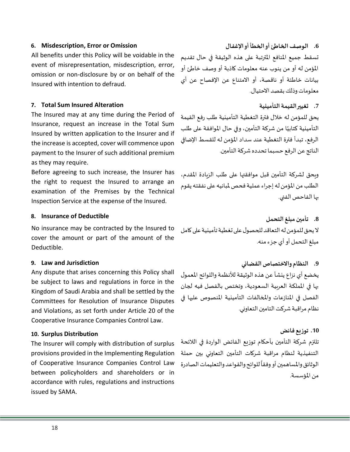## **6. Misdescription, Error or Omission**

All benefits under this Policy will be voidable in the event of misrepresentation, misdescription, error, omission or non-disclosure by or on behalf of the Insured with intention to defraud.

## **7. Total Sum Insured Alteration**

The Insured may at any time during the Period of Insurance, request an increase in the Total Sum Insured by written application to the Insurer and if the increase is accepted, cover will commence upon payment to the Insurer of such additional premium as they may require.

Before agreeing to such increase, the Insurer has the right to request the Insured to arrange an examination of the Premises by the Technical Inspection Service at the expense of the Insured.

#### **8. Insurance of Deductible**

No insurance may be contracted by the Insured to cover the amount or part of the amount of the Deductible.

#### **9. Law and Jurisdiction**

Any dispute that arises concerning this Policy shall be subject to laws and regulations in force in the Kingdom of Saudi Arabia and shall be settled by the Committees for Resolution of Insurance Disputes and Violations, as set forth under Article 20 of the Cooperative Insurance Companies Control Law.

#### **10. Surplus Distribution**

The Insurer will comply with distribution of surplus provisions provided in the Implementing Regulation of Cooperative Insurance Companies Control Law between policyholders and shareholders or in accordance with rules, regulations and instructions issued by SAMA.

**.6 الوصف الخاطئ أو الخطأ أو اإلغفال**  تسقط جميع املنافع املترتبة على هذه الوثيقة في حال تقديم املؤمن له أو من ينوب عنه معلومات كاذبة أو وصف خاطئ أو بيانات خاطئة أو ناقصة، أو االمتناع عن اإلفصاح عن أي معلومات وذلك بقصد االحتيال.

## **.7 تغيير القيمة التأمينية**

يحق للمؤمن له خالل فترة التغطية التأمينية طلب رفع القيمة التأمينية كتابيًا من شركة التأمين، وفي حال الموافقة على طلب ٍ<br>أ الرفع، تبدأ فترة التغطية عند سداد املؤمن له للقسط اإلضافي الناتج عن الرفع حسبما تحدده شركة التأمين.

ويحق لشركة التأمين قبل موافقتها على طلب الزيادة املقدم، الطلب من املؤمن له إجراء عملية فحص ملبانيه على نفقته يقوم بها الفاحص الفني.

**.8 تأمين مبلغ التحمل** لا يحق للمؤمن له التعاقد للحصول على تغطية تأمينية على كامل مبلغ التحمل أو أي جزء منه.

**.9 النظام واالختصاص القضائي**  يخضع أي نزاع ينشأ عن هذه الوثيقة للأنظمة واللوائح المعمول بها في اململكة العربية السعودية، وتختص بالفصل فيه لجان الفصل في املنازعات واملخالفات التأمينية املنصوص عليها في نظام مراقبة شركت التامين التعاوني.

## **.10 توزيع فائض**

تلتزم شركة التأمين بأحكام توزيع الفائض الواردة في الالئحة التنفيذية لنظام مراقبة شركات التأمين التعاوني بين حملة الوثائق والمساهمين أو وفقاً للوائح والقواعد والتعليمات الصادرة ً<br>آ من المؤسسة.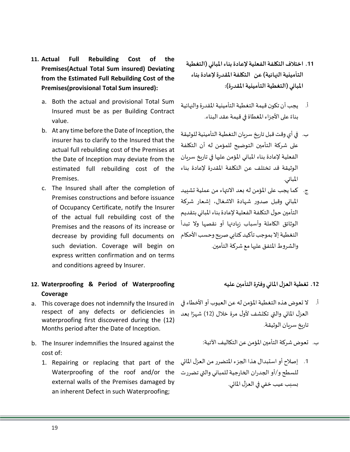- **11. Actual Full Rebuilding Cost of the Premises(Actual Total Sum insured) Deviating from the Estimated Full Rebuilding Cost of the Premises(provisional Total Sum insured):**
	- a. Both the actual and provisional Total Sum Insured must be as per Building Contract value.
	- b. At any time before the Date of Inception, the insurer has to clarify to the Insured that the actual full rebuilding cost of the Premises at the Date of Inception may deviate from the estimated full rebuilding cost of the Premises.
	- c. The Insured shall after the completion of Premises constructions and before issuance of Occupancy Certificate, notify the Insurer of the actual full rebuilding cost of the Premises and the reasons of its increase or decrease by providing full documents on such deviation. Coverage will begin on express written confirmation and on terms and conditions agreed by Insurer.

## **12. Waterproofing & Period of Waterproofing Coverage**

- a. This coverage does not indemnify the Insured in respect of any defects or deficiencies in waterproofing first discovered during the (12) Months period after the Date of Inception.
- b. The Insurer indemnifies the Insured against the cost of:
	- 1. Repairing or replacing that part of the Waterproofing of the roof and/or the external walls of the Premises damaged by an inherent Defect in such Waterproofing;
- **.11 اختالف التكلفة الفعلية إلعادة بناء املباني )التغطية التأمينية النهائية( عن التكلفةاملقدرة إلعادةبناء املباني )التغطية التأمينية املقدرة(:**
- أ. يجب أن تكون قيمة التغطية التأمينية المقدرة والنهائية ً<br>ءُ بناء على األجزاء املغطاة في قيمة عقد البناء.
- ب. في أي وقت قبل تاريخ سريان التغطية التأمينية للوثيقة على شركة التأمين التوضيح للمؤمن له أن التكلفة الفعلية إلعادة بناء املباني املؤمن عليها في تاريخ سريان الوثيقة قد تختلف عن التكلفة املقدرة إلعادة بناء املباني.
- ج. كما يجب على املؤمن له بعد االنتهاء من عملية تشييد املباني وقبل صدور شهادة االشغال، إشعار شركة التأمين حول التكلفة الفعلية لإعادة بناء المباني بتقديم الوثائق الكاملة وأسباب زيادتها أو نقصها وال تبدأ التغطية إال بموجب تأكيد كتابي صريح وحسب األحكام والشروط المتفق عليها مع شركة التأمين.

## **.12 تغطيةالعزل املائي وفترةالتأمين عليه**

- أ. لا تعوض هذه التغطية المؤمن له عن العيوب أو الأخطاء في .<br>العزل المائي والتي تكتشف لأول مرة خلال (12) شهرًا بعد تاريخ سريان الوثيقة.
	- ب. تعوض شركة التأمين املؤمن عن التكاليف اآلتية:
- .1 إصالح أو استبدال هذا الجزء املتضررمن العزل املائي للسطح و/أو الجدران الخارجية للمباني والتي تضررت بسبب عيب خفي في العزل المائي.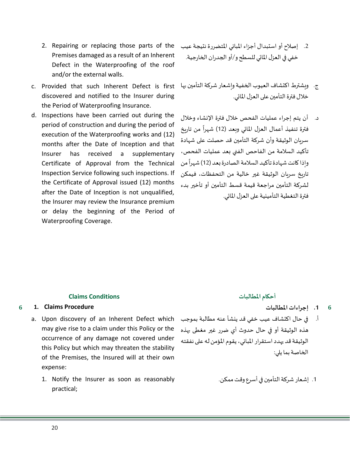- 2. Repairing or replacing those parts of the Premises damaged as a result of an Inherent Defect in the Waterproofing of the roof and/or the external walls.
- c. Provided that such Inherent Defect is first discovered and notified to the Insurer during the Period of Waterproofing Insurance.
- d. Inspections have been carried out during the period of construction and during the period of execution of the Waterproofing works and (12) months after the Date of Inception and that Insurer has received a supplementary Certificate of Approval from the Technical Inspection Service following such inspections. If the Certificate of Approval issued (12) months after the Date of Inception is not unqualified, the Insurer may review the Insurance premium or delay the beginning of the Period of Waterproofing Coverage.
- .2 إصالح أو استبدال أجزاء املباني املتضررة نتيجة عيب خفي في العزل المائي للسطح و/أو الجدران الخارجية.
- ج. ويشترط اكتشاف العيوب الخفية وإشعار شركة التأمين بها خلال فترة التأمين على العزل المائي.
- د. أن يتم إجراء عمليات الفحص خالل فترة اإلنشاء وخالل فترة تنفيذ أعمال العزل المائي وبعد (12) شهراً من تاريخ ً<br>آ سريان الوثيقة وأن شركة التأمين قد حصلت على شهادة تأكيد السالمة من الفاحص الفني بعد عمليات الفحص، وإذا كانت شهادة تأكيد السلامة الصادرة بعد (12) شهراً من ً<br>آ تاريخ سريان الوثيقة غير خالية من التحفظات، فيمكن لشركة التأمين مراجعة قيمة قسط التأمين أو تأخير بدء فترة التغطية التأمينية على العزل المائي.

### **أحكام املطالبات Conditions Claims**

## **6 1. Claims Procedure**

- may give rise to a claim under this Policy or the occurrence of any damage not covered under this Policy but which may threaten the stability of the Premises, the Insured will at their own expense:
	- 1. Notify the Insurer as soon as reasonably practical;

- **.1 إجراءات املطالبات 6**
- a. Upon discovery of an Inherent Defect which أ. في حال اكتشاف عيب خفي قد ينشأ عنه مطالبة بموجب هذه الوثيقة أو في حال حدوث أي ضرر غير مغطى بهذه الوثيقة قد يهدد استقرار املباني، يقوم املؤمن له على نفقته الخاصة بما يلي:
	- .1 إشعار شركة التأمين في أسرع وقت ممكن.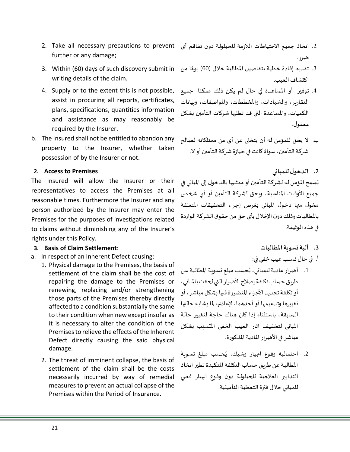- further or any damage;
- writing details of the claim.
- 4. Supply or to the extent this is not possible, assist in procuring all reports, certificates, plans, specifications, quantities information and assistance as may reasonably be required by the Insurer.
- b. The Insured shall not be entitled to abandon any property to the Insurer, whether taken possession of by the Insurer or not.

## **2. Access to Premises**

The Insured will allow the Insurer or their representatives to access the Premises at all reasonable times. Furthermore the Insurer and any person authorized by the Insurer may enter the Premises for the purposes of investigations related to claims without diminishing any of the Insurer's rights under this Policy.

## **3. Basis of Claim Settlement:**

- a. In respect of an Inherent Defect causing:
	- 1. Physical damage to the Premises, the basis of settlement of the claim shall be the cost of repairing the damage to the Premises or renewing, replacing and/or strengthening those parts of the Premises thereby directly affected to a condition substantially the same to their condition when new except insofar as it is necessary to alter the condition of the Premises to relieve the effects of the Inherent Defect directly causing the said physical damage.
	- 2. The threat of imminent collapse, the basis of settlement of the claim shall be the costs necessarily incurred by way of remedial measures to prevent an actual collapse of the Premises within the Period of Insurance.
- 2. اتخاذ جميع الاحتياطات اللازمة للحيلولة دون تفاقم أي 2. Take all necessary precautions to prevent ضرر.
- 3. تقديم إفادة خطية بتفاصيل المطالبة خلال (60) يومًا من 3. Within (60) days of such discovery submit in ؚ<br>قا اكتشاف العيب.
	- .4 توفير -أو املساعدة في حال لم يكن ذلك ممكنا- جميع التقارير، والشهادات، واملخططات، واملواصفات، وبيانات الكميات، واملساعدة التي قد تطلبها شركات التأمين بشكل معقول.
	- ب. ال يحق للمؤمن له أن يتخلى عن أي من ممتلكاته لصالح شركة التأمين، سواءً كانت في حيازة شركة التأمين أو لا. ً<br>ءُ
		- **.2 الدخول للمباني**

يَسمح المؤمن له لشركة التأمين أو ممثليها بالدخول إلى المباني في  $\overline{\mathbf{a}}$ جميع الأوقات المناسبة، وبحق لشركة التأمين أو أي شخص مخول منها دخول املباني بغرض إجراء التحقيقات املتعلقة بالمطالبات وذلك دون الإخلال بأي حق من حقوق الشركة الواردة في هذه الوثيقة.

## **.3 آلية تسوية املطالبات**

- أ. في حال تسبب عيب خفي في:
- 1. أضرار مادية للمباني، يُحسب مبلغ تسوية المطالبة عن ُ طريق حساب تكلفة إصالح األضرار التي لحقت باملباني، أو تكلفة تجديد الأجزاء المتضررة فيها بشكل مباشر، أو تغييرها وتدعيمها أو أحدهما، لإعادتها لما يشابه حالتها السابقة، باستثناء إذا كان هناك حاجة لتغيير حالة املباني لتخفيف آثار العيب الخفي املتسبب بشكل مباشر في الأضرار المادية المذكورة.
- 2. احتمالية وقوع انهيار وشيك، يُحسب مبلغ تسوية ٍ<br>پ املطالبة عن طريق حساب التكلفة املتكبدة نظير اتخاذ التدابير العالجية للحيلولة دون وقوع انهيار فعلي للمباني خالل فترة التغطية التأمينية.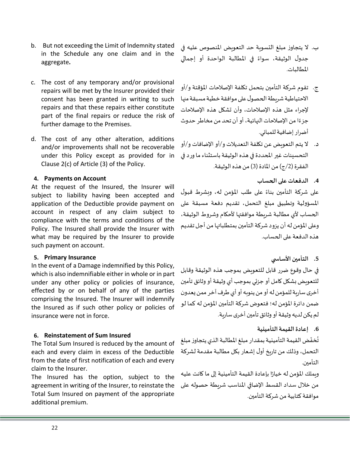- 22
- claim to the Insurer. The Insured has the option, subject to the agreement in writing of the Insurer, to reinstate the Total Sum Insured on payment of the appropriate additional premium.

each and every claim in excess of the Deductible from the date of first notification of each and every

## **6. Reinstatement of Sum Insured**  The Total Sum Insured is reduced by the amount of

which is also indemnifiable either in whole or in part under any other policy or policies of insurance, effected by or on behalf of any of the parties comprising the Insured. The Insurer will indemnify the Insured as if such other policy or policies of insurance were not in force.

## In the event of a Damage indemnified by this Policy,

subject to liability having been accepted and application of the Deductible provide payment on account in respect of any claim subject to compliance with the terms and conditions of the Policy. The Insured shall provide the Insurer with what may be required by the Insurer to provide such payment on account. **5. Primary Insurance**

At the request of the Insured, the Insurer will

c. The cost of any temporary and/or provisional repairs will be met by the Insurer provided their consent has been granted in writing to such repairs and that these repairs either constitute part of the final repairs or reduce the risk of

d. The cost of any other alteration, additions and/or improvements shall not be recoverable under this Policy except as provided for in

Clause 2(c) of Article (3) of the Policy.

further damage to the Premises.

## **4. Payments on Account**

aggregate **.**

b. But not exceeding the Limit of Indemnity stated in the Schedule any one claim and in the ب. ال يتجاوز مبلغ التسوية حد التعويض املنصوص عليه في جدول الوثيقة، سواءً في المطالبة الواحدة أو إجمالي ً املطالبات.

- ج. تقوم شركة التأمين بتحمل تكلفة اإلصالحات املؤقتة و/أو الاحتياطية شريطة الحصول على موافقة خطية مسبقة منها إلجراء مثل هذه اإلصالحات، وأن تشكل هذه اإلصالحات جزءًا من الإصلاحات النهائية، أو أن تحد من مخاطر حدوث ً أضرار إضافية للمباني.
- د. ال يتم التعويض عن تكلفة التعديالت و/أو اإلضافات و/أو التحسينات غير المحددة في هذه الوثيقة باستثناء ما ورد في الفقرة (2/ج) من المادة (3) من هذه الوثيقة.
	- **.4 الدفعات على الحساب**

ًعلى شركة التأمين بناءً على طلب المؤمن له، وبشرط قبول املسؤولية وتطبيق مبلغ التحمل، تقديم دفعة مسبقة على الحساب ألي مطالبة شريطة موافقتها ألحكام وشروط الوثيقة، وعلى المؤمن له أن يزود شركة التأمين بمتطلباتها من أجل تقديم هذه الدفعة على الحساب.

## **.5 التأمين األساس ي**

في حال وقوع ضرر قابل للتعويض بموجب هذه الوثيقة وقابل للتعويض بشكل كامل أو جزئي بموجب أي وثيقة أو وثائق تأمين أخرى سارية للمؤمن له أو من ينويه أو أي طرف آخر ممن يعدون ضمن دائرة المؤمن له؛ فتعوض شركة التأمين المؤمن له كما لو لم يكن لديه وثيقة أو وثائق تأمين أخرىسارية.

## **.6 إعادة القيمة التأمينية**

تُخفّض القيمة التأمينية بمقدار مبلغ المطالبة الذي يتجاوز مبلغ ֦֧֦֧֦֧<u>֦</u> ُ التحمل، وذلك من تاريخ أول إشعار بكل مطالبة مقدمة لشركة التأمين.

ويملك المؤمن له خيارًا بإعادة القيمة التأمينية إلى ما كانت عليه ً من خلال سداد القسط الإضافي المناسب شريطة حصوله على موافقة كتابية من شركة التأمين.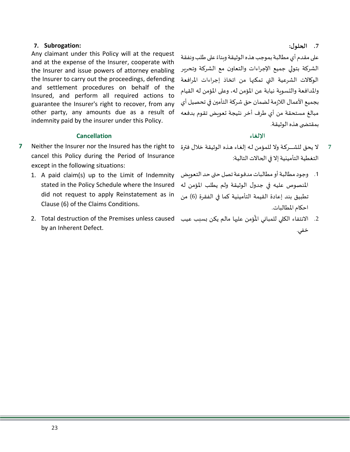Any claimant under this Policy will at the request and at the expense of the Insurer, cooperate with the Insurer and issue powers of attorney enabling الشركة بتولي جميع اإلجراءات و التعاون مع الشركة وتحرير the Insurer to carry out the proceedings, defending and settlement procedures on behalf of the Insured, and perform all required actions to guarantee the Insurer's right to recover, from any other party, any amounts due as a result of indemnity paid by the insurer under this Policy.

## **اإللغاء Cancellation**

- **7** Neither the Insurer nor the Insured has the right to cancel this Policy during the Period of Insurance except in the following situations:
	- 1. A paid claim(s) up to the Limit of Indemnity stated in the Policy Schedule where the Insured did not request to apply Reinstatement as in Clause (6) of the Claims Conditions.
	- 2. الانتفاء الكلي للمباني المُؤمن عليها مالم يكن بسبب عيب 2. Total destruction of the Premises unless caused by an Inherent Defect.

**.7 الحلول:**

على مقدم أي مطالبة بموجب هذه الوثيقة وبناءً على طلب ونفقة ً الوكالات الشرعية التي تمكنها من اتخاذ إجراءات المرافعة واملدافعة والتسوية نيابة عن املؤمن له، وعلى املؤمن له القيام بجميع الأعمال اللازمة لضمان حق شركة التأمين في تحصيل أي مبالغ مستحقة من أي طرف أخر نتيجة تعويض تقوم بدفعه بمقتضى هذه الوثيقة.

- ال يحق للشــــــركـة وال للمؤمن لـه إلغـاء هـذه الوثيقة خالل فترة التغطية التأمينية إال في الحاالت التالية: **7**
- .1 وجود مطالبة أو مطالبات مدفوعة تصل حتى حد التعويض املنصوص عليه في جدول الوثيقة ولم يطلب املؤمن له تطبيق بند إعادة القيمة التأمينية كما في الفقرة (6) من احكام املطالبات.
- ر<br>أ خفي.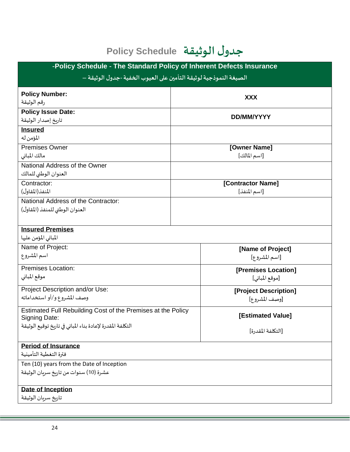# **جدول الوثيقة Schedule Policy**

| -Policy Schedule - The Standard Policy of Inherent Defects Insurance          |                                        |  |  |  |
|-------------------------------------------------------------------------------|----------------------------------------|--|--|--|
| الصيغة النموذجية لوثيقة التأمين على العيوب الخفية -جدول الوثيقة –             |                                        |  |  |  |
| <b>Policy Number:</b><br>رقم الوثيقة<br><b>Policy Issue Date:</b>             | <b>XXX</b>                             |  |  |  |
| تاربخ إصدار الوثيقة                                                           | <b>DD/MM/YYYY</b>                      |  |  |  |
| <b>Insured</b><br>المؤمن له                                                   |                                        |  |  |  |
| <b>Premises Owner</b><br>مالك المبانى                                         | [Owner Name]<br>[اسم المالك]           |  |  |  |
| National Address of the Owner<br>العنوان الوطني للمالك                        |                                        |  |  |  |
| Contractor:<br>المنفذ (المقاول)                                               | [Contractor Name]<br>[اسم المنفذ]      |  |  |  |
| National Address of the Contractor:<br>العنوان الوطني للمنفذ (المقاول)        |                                        |  |  |  |
| <b>Insured Premises</b><br>المباني المؤمن عليها                               |                                        |  |  |  |
| Name of Project:<br>اسم المشروع                                               | [Name of Project]<br>[اسم المشروع]     |  |  |  |
| <b>Premises Location:</b><br>موقع المباني                                     | [Premises Location]<br>[موقع المباني]  |  |  |  |
| Project Description and/or Use:<br>وصف المشروع و/أو استخداماته                | [Project Description]<br>[وصف المشروع] |  |  |  |
| Estimated Full Rebuilding Cost of the Premises at the Policy<br>Signing Date: | [Estimated Value]                      |  |  |  |
| التكلفة المقدرة لإعادة بناء المباني في تاريخ توقيع الوثيقة                    | [التكلفة المقدرة]                      |  |  |  |
| <b>Period of Insurance</b>                                                    |                                        |  |  |  |
| فترة التغطية التأمينية                                                        |                                        |  |  |  |
| Ten (10) years from the Date of Inception                                     |                                        |  |  |  |
| عشرة (10) سنوات من تاريخ سربان الوثيقة                                        |                                        |  |  |  |
| <b>Date of Inception</b>                                                      |                                        |  |  |  |
| تاربخ سربان الوثيقة                                                           |                                        |  |  |  |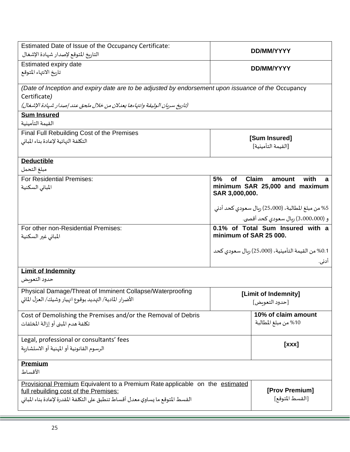| Estimated Date of Issue of the Occupancy Certificate:<br>التاربخ المتوقع لإصدار شهادة الإشغال                                                                                                            | DD/MM/YYYY                                                                                                 |                                                            |  |  |
|----------------------------------------------------------------------------------------------------------------------------------------------------------------------------------------------------------|------------------------------------------------------------------------------------------------------------|------------------------------------------------------------|--|--|
| Estimated expiry date<br>تاربخ الانتهاء المتوقع                                                                                                                                                          | DD/MM/YYYY                                                                                                 |                                                            |  |  |
| (Date of Inception and expiry date are to be adjusted by endorsement upon issuance of the Occupancy<br>Certificate)<br>(تاريخ سربان الوثيقة وانتهاءها يعدلان من خلال ملحق عند إصدار شهادة الإشغال)       |                                                                                                            |                                                            |  |  |
| <b>Sum Insured</b><br>القيمة التأمينية                                                                                                                                                                   |                                                                                                            |                                                            |  |  |
| Final Full Rebuilding Cost of the Premises<br>التكلفة النهائية لإعادة بناء المبانى                                                                                                                       |                                                                                                            | [Sum Insured]<br>[القيمة التأمينية]                        |  |  |
| <b>Deductible</b><br>مبلغ التحمل                                                                                                                                                                         |                                                                                                            |                                                            |  |  |
| <b>For Residential Premises:</b><br>المبانى السكنية                                                                                                                                                      | 5%<br><b>Claim</b><br>with<br><b>of</b><br>amount<br>a<br>minimum SAR 25,000 and maximum<br>SAR 3,000,000. |                                                            |  |  |
|                                                                                                                                                                                                          |                                                                                                            | 5% من مبلغ المطالبة، (25،000) ربال سعودي كحد أدني          |  |  |
| For other non-Residential Premises:<br>المباني غير السكنية                                                                                                                                               | و (3،000،000) ربال سعودي كحد أقصى.<br>0.1% of Total Sum Insured with a<br>minimum of SAR 25 000.           |                                                            |  |  |
|                                                                                                                                                                                                          |                                                                                                            | 0.1% من القيمة التأمينية، (25،000) ربال سعودي كحد<br>أدنى. |  |  |
| <b>Limit of Indemnity</b><br>حدود التعوىض                                                                                                                                                                |                                                                                                            |                                                            |  |  |
| Physical Damage/Threat of Imminent Collapse/Waterproofing<br>الأضرار المادية/ التهديد بوقوع انهيار وشيك/ العزل المائي                                                                                    | [Limit of Indemnity]<br>[حدود التعويض]                                                                     |                                                            |  |  |
| Cost of Demolishing the Premises and/or the Removal of Debris<br>تكلفة هدم المبنى أو إزالة المخلفات                                                                                                      |                                                                                                            | 10% of claim amount<br>10% من مبلغ المطالبة                |  |  |
| Legal, professional or consultants' fees<br>الرسوم القانونية أو المهنية أو الاستشاربة                                                                                                                    |                                                                                                            | [XXX]                                                      |  |  |
| <b>Premium</b><br>الأقساط                                                                                                                                                                                |                                                                                                            |                                                            |  |  |
| Provisional Premium Equivalent to a Premium Rate applicable on the estimated<br>full rebuilding cost of the Premises:<br>القسط المتوقع ما يساوي معدل أقساط تنطبق على التكلفة المقدرة لإعادة بناء المباني |                                                                                                            | [Prov Premium]<br>[القسط المتوقع]                          |  |  |